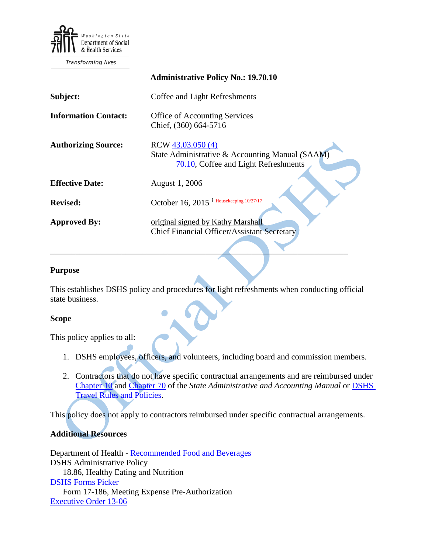

Transforming lives

|                             | <b>Administrative Policy No.: 19.70.10</b>                                                                   |
|-----------------------------|--------------------------------------------------------------------------------------------------------------|
| Subject:                    | Coffee and Light Refreshments                                                                                |
| <b>Information Contact:</b> | <b>Office of Accounting Services</b><br>Chief, (360) 664-5716                                                |
| <b>Authorizing Source:</b>  | RCW 43.03.050 (4)<br>State Administrative & Accounting Manual (SAAM)<br>70.10, Coffee and Light Refreshments |
| <b>Effective Date:</b>      | August 1, 2006                                                                                               |
| <b>Revised:</b>             | October 16, 2015 <sup>i</sup> Housekeeping 10/27/17                                                          |
| <b>Approved By:</b>         | original signed by Kathy Marshall<br><b>Chief Financial Officer/Assistant Secretary</b>                      |

#### **Purpose**

This establishes DSHS policy and procedures for light refreshments when conducting official state business.

 $\mathcal{L} = \mathcal{L} \mathcal{L} = \mathcal{L} \mathcal{L}$ 

### **Scope**

This policy applies to all:

- 1. DSHS employees, officers, and volunteers, including board and commission members.
- 2. Contractors that do not have specific contractual arrangements and are reimbursed under [Chapter 10](http://www.ofm.wa.gov/policy/10.htm) and [Chapter 70](http://www.ofm.wa.gov/policy/70.htm) of the *State Administrative and Accounting Manual* or [DSHS](http://one.dshs.wa.lcl/FS/Fiscal/Accounting/Travel/Pages/default.aspx)  [Travel Rules and Policies.](http://one.dshs.wa.lcl/FS/Fiscal/Accounting/Travel/Pages/default.aspx)

This policy does not apply to contractors reimbursed under specific contractual arrangements.

### **Additional Resources**

Department of Health - [Recommended Food and Beverages](http://one.dshs.wa.lcl/FS/Fiscal/Accounting/Payroll/Correspondence/Recommended%20Food%20and%20Beverages.pdf) DSHS Administrative Policy 18.86, Healthy Eating and Nutrition [DSHS Forms Picker](http://forms.dshs.wa.lcl/) Form 17-186, Meeting Expense Pre-Authorization [Executive Order 13-06](http://one.dshs.wa.lcl/FS/Fiscal/Accounting/Payroll/Correspondence/Executive%20Order%2013-06.pdf)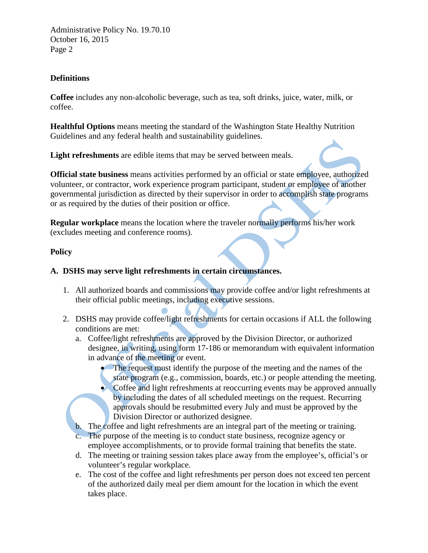Administrative Policy No. 19.70.10 October 16, 2015 Page 2

## **Definitions**

**Coffee** includes any non-alcoholic beverage, such as tea, soft drinks, juice, water, milk, or coffee.

**Healthful Options** means meeting the standard of the Washington State Healthy Nutrition Guidelines and any federal health and sustainability guidelines.

**Light refreshments** are edible items that may be served between meals.

**Official state business** means activities performed by an official or state employee, authorized volunteer, or contractor, work experience program participant, student or employee of another governmental jurisdiction as directed by their supervisor in order to accomplish state programs or as required by the duties of their position or office.

**Regular workplace** means the location where the traveler normally performs his/her work (excludes meeting and conference rooms).

### **Policy**

## **A. DSHS may serve light refreshments in certain circumstances.**

- 1. All authorized boards and commissions may provide coffee and/or light refreshments at their official public meetings, including executive sessions.
- 2. DSHS may provide coffee/light refreshments for certain occasions if ALL the following conditions are met:
	- a. Coffee/light refreshments are approved by the Division Director, or authorized designee, in writing, using form 17-186 or memorandum with equivalent information in advance of the meeting or event.
		- The request must identify the purpose of the meeting and the names of the state program (e.g., commission, boards, etc.) or people attending the meeting.
		- Coffee and light refreshments at reoccurring events may be approved annually by including the dates of all scheduled meetings on the request. Recurring approvals should be resubmitted every July and must be approved by the Division Director or authorized designee.
	- b. The coffee and light refreshments are an integral part of the meeting or training.
	- c. The purpose of the meeting is to conduct state business, recognize agency or employee accomplishments, or to provide formal training that benefits the state.
	- d. The meeting or training session takes place away from the employee's, official's or volunteer's regular workplace.
	- e. The cost of the coffee and light refreshments per person does not exceed ten percent of the authorized daily meal per diem amount for the location in which the event takes place.